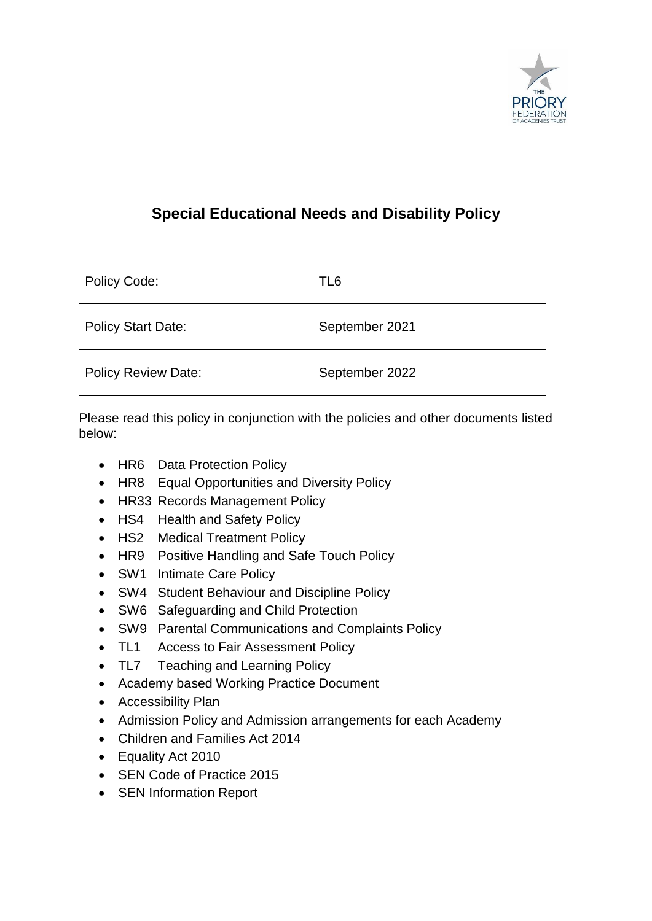

# **Special Educational Needs and Disability Policy**

| Policy Code:               | TL <sub>6</sub> |
|----------------------------|-----------------|
| <b>Policy Start Date:</b>  | September 2021  |
| <b>Policy Review Date:</b> | September 2022  |

Please read this policy in conjunction with the policies and other documents listed below:

- HR6 Data Protection Policy
- HR8 Equal Opportunities and Diversity Policy
- HR33 Records Management Policy
- HS4 Health and Safety Policy
- HS2 Medical Treatment Policy
- HR9 Positive Handling and Safe Touch Policy
- SW1 Intimate Care Policy
- SW4 Student Behaviour and Discipline Policy
- SW6 Safeguarding and Child Protection
- SW9 Parental Communications and Complaints Policy
- TL1 Access to Fair Assessment Policy
- TL7 Teaching and Learning Policy
- Academy based Working Practice Document
- Accessibility Plan
- Admission Policy and Admission arrangements for each Academy
- Children and Families Act 2014
- Equality Act 2010
- SEN Code of Practice 2015
- SEN Information Report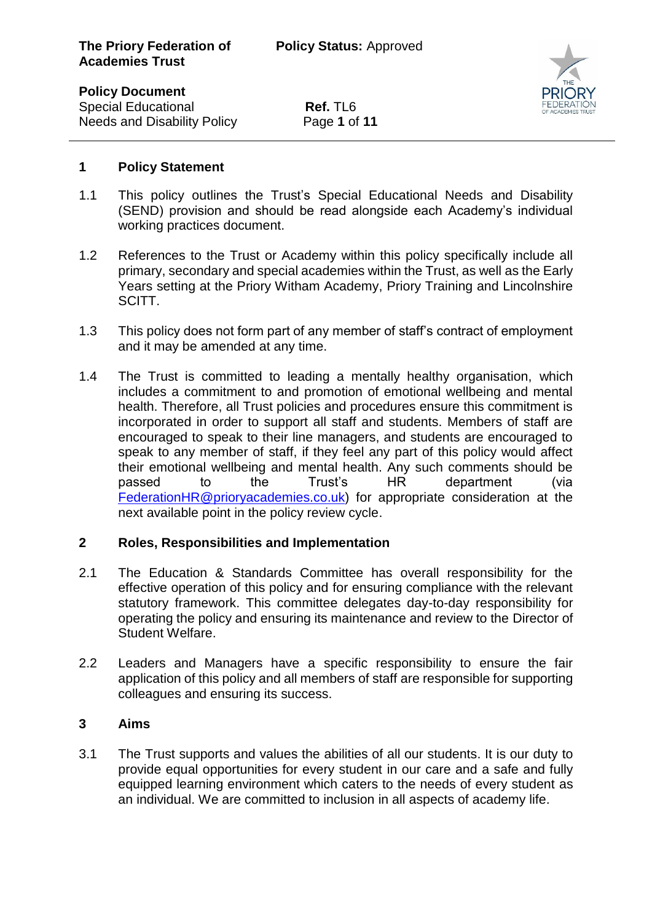**Policy Document**

 $\overline{a}$ 

**Special Educational <b>Ref.** TL6 Needs and Disability Policy Page **1** of **11**



#### **1 Policy Statement**

- 1.1 This policy outlines the Trust's Special Educational Needs and Disability (SEND) provision and should be read alongside each Academy's individual working practices document.
- 1.2 References to the Trust or Academy within this policy specifically include all primary, secondary and special academies within the Trust, as well as the Early Years setting at the Priory Witham Academy, Priory Training and Lincolnshire SCITT.
- 1.3 This policy does not form part of any member of staff's contract of employment and it may be amended at any time.
- 1.4 The Trust is committed to leading a mentally healthy organisation, which includes a commitment to and promotion of emotional wellbeing and mental health. Therefore, all Trust policies and procedures ensure this commitment is incorporated in order to support all staff and students. Members of staff are encouraged to speak to their line managers, and students are encouraged to speak to any member of staff, if they feel any part of this policy would affect their emotional wellbeing and mental health. Any such comments should be passed to the Trust's HR department (via [FederationHR@prioryacademies.co.uk\)](mailto:FederationHR@prioryacademies.co.uk) for appropriate consideration at the next available point in the policy review cycle.

# **2 Roles, Responsibilities and Implementation**

- 2.1 The Education & Standards Committee has overall responsibility for the effective operation of this policy and for ensuring compliance with the relevant statutory framework. This committee delegates day-to-day responsibility for operating the policy and ensuring its maintenance and review to the Director of Student Welfare.
- 2.2 Leaders and Managers have a specific responsibility to ensure the fair application of this policy and all members of staff are responsible for supporting colleagues and ensuring its success.

#### **3 Aims**

3.1 The Trust supports and values the abilities of all our students. It is our duty to provide equal opportunities for every student in our care and a safe and fully equipped learning environment which caters to the needs of every student as an individual. We are committed to inclusion in all aspects of academy life.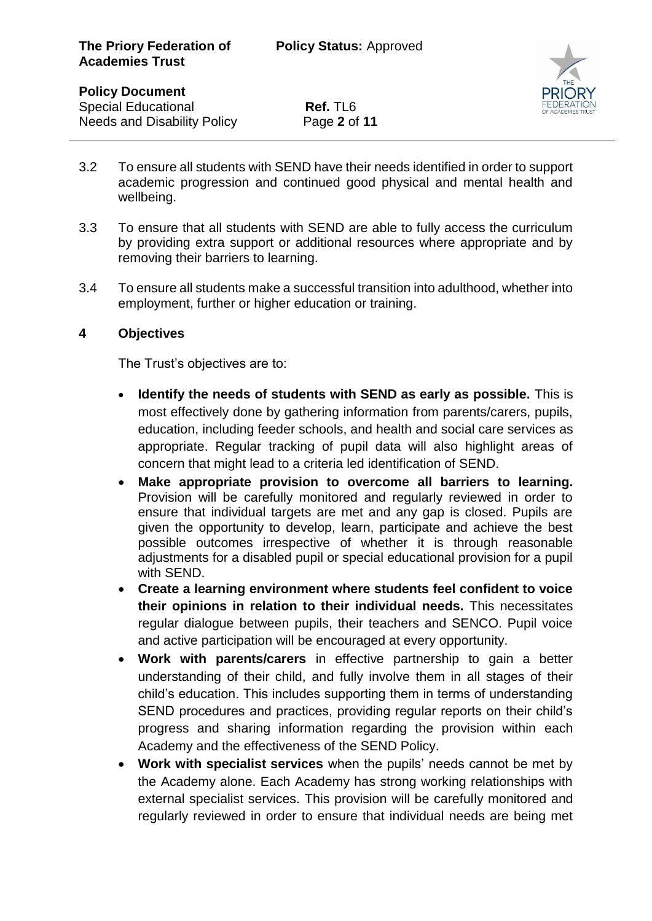

**Special Educational <b>Ref.** TL6 Needs and Disability Policy Page **2** of **11**



- 3.2 To ensure all students with SEND have their needs identified in order to support academic progression and continued good physical and mental health and wellbeing.
- 3.3 To ensure that all students with SEND are able to fully access the curriculum by providing extra support or additional resources where appropriate and by removing their barriers to learning.
- 3.4 To ensure all students make a successful transition into adulthood, whether into employment, further or higher education or training.

# **4 Objectives**

The Trust's objectives are to:

- **Identify the needs of students with SEND as early as possible.** This is most effectively done by gathering information from parents/carers, pupils, education, including feeder schools, and health and social care services as appropriate. Regular tracking of pupil data will also highlight areas of concern that might lead to a criteria led identification of SEND.
- **Make appropriate provision to overcome all barriers to learning.** Provision will be carefully monitored and regularly reviewed in order to ensure that individual targets are met and any gap is closed. Pupils are given the opportunity to develop, learn, participate and achieve the best possible outcomes irrespective of whether it is through reasonable adjustments for a disabled pupil or special educational provision for a pupil with SEND.
- **Create a learning environment where students feel confident to voice their opinions in relation to their individual needs.** This necessitates regular dialogue between pupils, their teachers and SENCO. Pupil voice and active participation will be encouraged at every opportunity.
- **Work with parents/carers** in effective partnership to gain a better understanding of their child, and fully involve them in all stages of their child's education. This includes supporting them in terms of understanding SEND procedures and practices, providing regular reports on their child's progress and sharing information regarding the provision within each Academy and the effectiveness of the SEND Policy.
- **Work with specialist services** when the pupils' needs cannot be met by the Academy alone. Each Academy has strong working relationships with external specialist services. This provision will be carefully monitored and regularly reviewed in order to ensure that individual needs are being met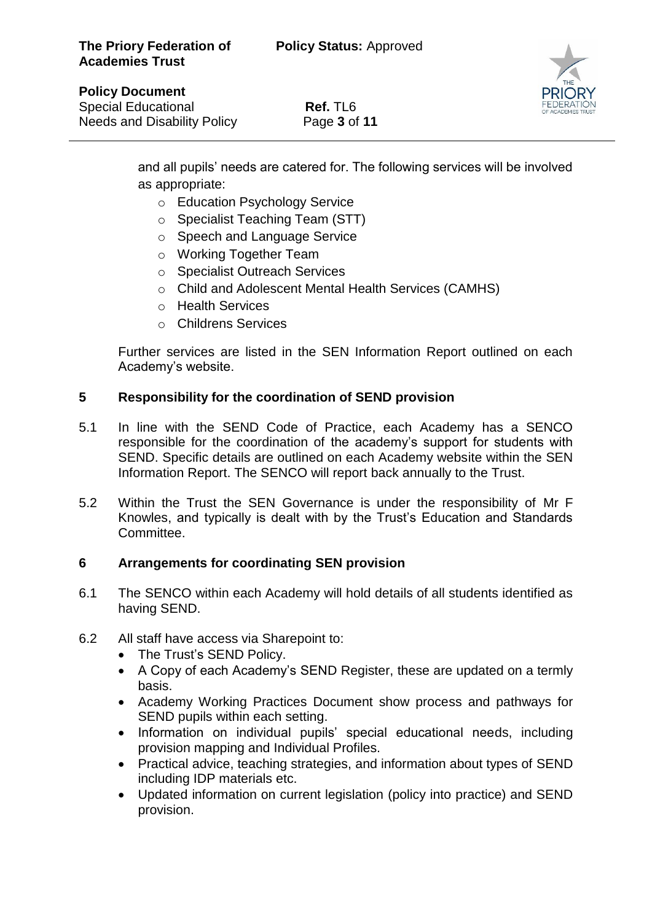

#### **Policy Document**

 $\overline{a}$ 

**Special Educational <b>Ref.** TL6 Needs and Disability Policy Page **3** of **11**

and all pupils' needs are catered for. The following services will be involved as appropriate:

- o Education Psychology Service
- o Specialist Teaching Team (STT)
- o Speech and Language Service
- o Working Together Team
- o Specialist Outreach Services
- o Child and Adolescent Mental Health Services (CAMHS)
- o Health Services
- o Childrens Services

Further services are listed in the SEN Information Report outlined on each Academy's website.

# **5 Responsibility for the coordination of SEND provision**

- 5.1 In line with the SEND Code of Practice, each Academy has a SENCO responsible for the coordination of the academy's support for students with SEND. Specific details are outlined on each Academy website within the SEN Information Report. The SENCO will report back annually to the Trust.
- 5.2 Within the Trust the SEN Governance is under the responsibility of Mr F Knowles, and typically is dealt with by the Trust's Education and Standards Committee.

#### **6 Arrangements for coordinating SEN provision**

- 6.1 The SENCO within each Academy will hold details of all students identified as having SEND.
- 6.2 All staff have access via Sharepoint to:
	- The Trust's SEND Policy.
	- A Copy of each Academy's SEND Register, these are updated on a termly basis.
	- Academy Working Practices Document show process and pathways for SEND pupils within each setting.
	- Information on individual pupils' special educational needs, including provision mapping and Individual Profiles.
	- Practical advice, teaching strategies, and information about types of SEND including IDP materials etc.
	- Updated information on current legislation (policy into practice) and SEND provision.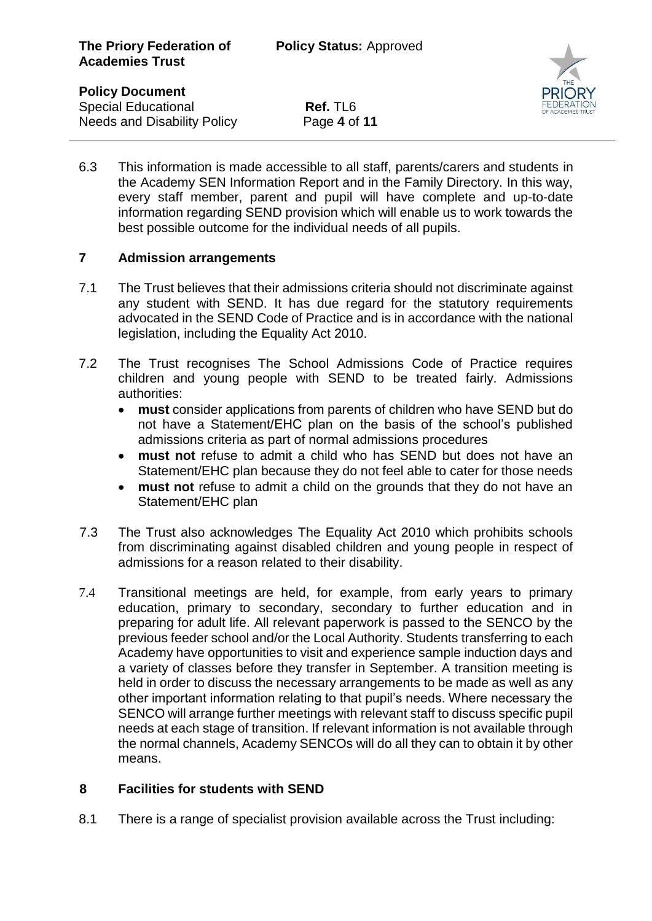**Special Educational <b>Ref.** TL6 Needs and Disability Policy Page **4** of **11**



6.3 This information is made accessible to all staff, parents/carers and students in the Academy SEN Information Report and in the Family Directory. In this way, every staff member, parent and pupil will have complete and up-to-date information regarding SEND provision which will enable us to work towards the best possible outcome for the individual needs of all pupils.

# **7 Admission arrangements**

- 7.1 The Trust believes that their admissions criteria should not discriminate against any student with SEND. It has due regard for the statutory requirements advocated in the SEND Code of Practice and is in accordance with the national legislation, including the Equality Act 2010.
- 7.2 The Trust recognises The School Admissions Code of Practice requires children and young people with SEND to be treated fairly. Admissions authorities:
	- **must** consider applications from parents of children who have SEND but do not have a Statement/EHC plan on the basis of the school's published admissions criteria as part of normal admissions procedures
	- **must not** refuse to admit a child who has SEND but does not have an Statement/EHC plan because they do not feel able to cater for those needs
	- **must not** refuse to admit a child on the grounds that they do not have an Statement/EHC plan
- 7.3 The Trust also acknowledges The Equality Act 2010 which prohibits schools from discriminating against disabled children and young people in respect of admissions for a reason related to their disability.
- 7.4 Transitional meetings are held, for example, from early years to primary education, primary to secondary, secondary to further education and in preparing for adult life. All relevant paperwork is passed to the SENCO by the previous feeder school and/or the Local Authority. Students transferring to each Academy have opportunities to visit and experience sample induction days and a variety of classes before they transfer in September. A transition meeting is held in order to discuss the necessary arrangements to be made as well as any other important information relating to that pupil's needs. Where necessary the SENCO will arrange further meetings with relevant staff to discuss specific pupil needs at each stage of transition. If relevant information is not available through the normal channels, Academy SENCOs will do all they can to obtain it by other means.

# **8 Facilities for students with SEND**

8.1 There is a range of specialist provision available across the Trust including: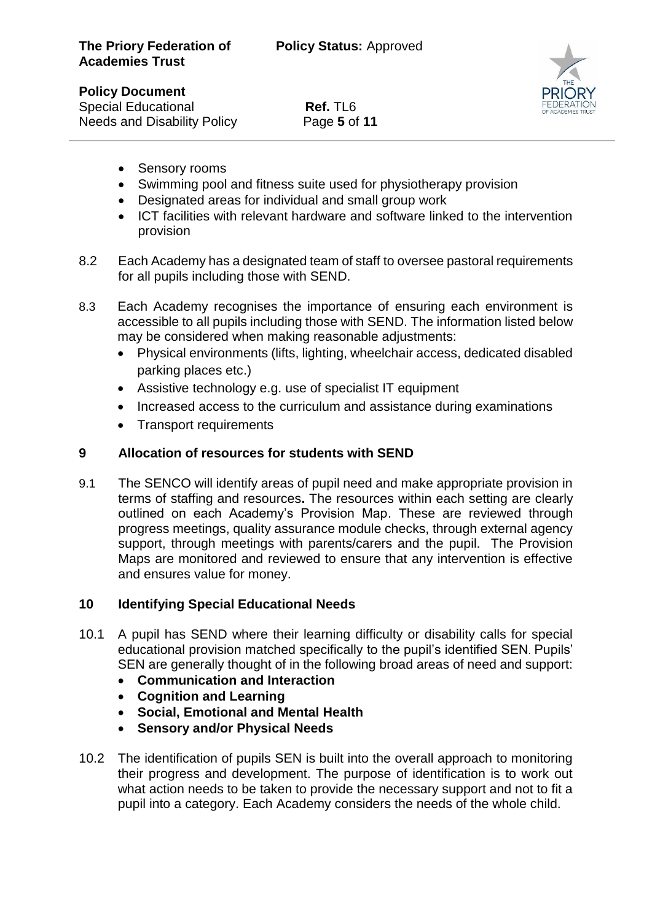

**Special Educational <b>Ref.** TL6 Needs and Disability Policy Page **5** of **11**

- Sensory rooms
- Swimming pool and fitness suite used for physiotherapy provision
- Designated areas for individual and small group work
- ICT facilities with relevant hardware and software linked to the intervention provision
- 8.2 Each Academy has a designated team of staff to oversee pastoral requirements for all pupils including those with SEND.
- 8.3 Each Academy recognises the importance of ensuring each environment is accessible to all pupils including those with SEND. The information listed below may be considered when making reasonable adjustments:
	- Physical environments (lifts, lighting, wheelchair access, dedicated disabled parking places etc.)
	- Assistive technology e.g. use of specialist IT equipment
	- Increased access to the curriculum and assistance during examinations
	- Transport requirements

#### **9 Allocation of resources for students with SEND**

9.1 The SENCO will identify areas of pupil need and make appropriate provision in terms of staffing and resources**.** The resources within each setting are clearly outlined on each Academy's Provision Map. These are reviewed through progress meetings, quality assurance module checks, through external agency support, through meetings with parents/carers and the pupil. The Provision Maps are monitored and reviewed to ensure that any intervention is effective and ensures value for money.

#### **10 Identifying Special Educational Needs**

- 10.1 A pupil has SEND where their learning difficulty or disability calls for special educational provision matched specifically to the pupil's identified SEN. Pupils' SEN are generally thought of in the following broad areas of need and support:
	- **Communication and Interaction**
	- **Cognition and Learning**
	- **Social, Emotional and Mental Health**
	- **Sensory and/or Physical Needs**
- 10.2 The identification of pupils SEN is built into the overall approach to monitoring their progress and development. The purpose of identification is to work out what action needs to be taken to provide the necessary support and not to fit a pupil into a category. Each Academy considers the needs of the whole child.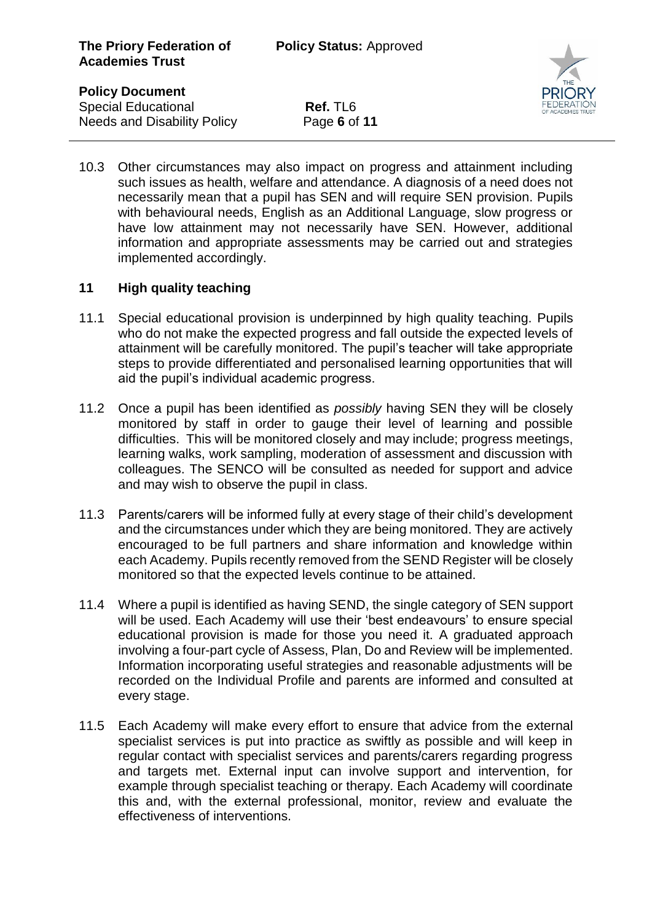**Special Educational <b>Ref.** TL6 Needs and Disability Policy Page **6** of **11**



10.3 Other circumstances may also impact on progress and attainment including such issues as health, welfare and attendance. A diagnosis of a need does not necessarily mean that a pupil has SEN and will require SEN provision. Pupils with behavioural needs, English as an Additional Language, slow progress or have low attainment may not necessarily have SEN. However, additional information and appropriate assessments may be carried out and strategies implemented accordingly.

# **11 High quality teaching**

- 11.1 Special educational provision is underpinned by high quality teaching. Pupils who do not make the expected progress and fall outside the expected levels of attainment will be carefully monitored. The pupil's teacher will take appropriate steps to provide differentiated and personalised learning opportunities that will aid the pupil's individual academic progress.
- 11.2 Once a pupil has been identified as *possibly* having SEN they will be closely monitored by staff in order to gauge their level of learning and possible difficulties. This will be monitored closely and may include; progress meetings, learning walks, work sampling, moderation of assessment and discussion with colleagues. The SENCO will be consulted as needed for support and advice and may wish to observe the pupil in class.
- 11.3 Parents/carers will be informed fully at every stage of their child's development and the circumstances under which they are being monitored. They are actively encouraged to be full partners and share information and knowledge within each Academy. Pupils recently removed from the SEND Register will be closely monitored so that the expected levels continue to be attained.
- 11.4 Where a pupil is identified as having SEND, the single category of SEN support will be used. Each Academy will use their 'best endeavours' to ensure special educational provision is made for those you need it. A graduated approach involving a four-part cycle of Assess, Plan, Do and Review will be implemented. Information incorporating useful strategies and reasonable adjustments will be recorded on the Individual Profile and parents are informed and consulted at every stage.
- 11.5 Each Academy will make every effort to ensure that advice from the external specialist services is put into practice as swiftly as possible and will keep in regular contact with specialist services and parents/carers regarding progress and targets met. External input can involve support and intervention, for example through specialist teaching or therapy. Each Academy will coordinate this and, with the external professional, monitor, review and evaluate the effectiveness of interventions.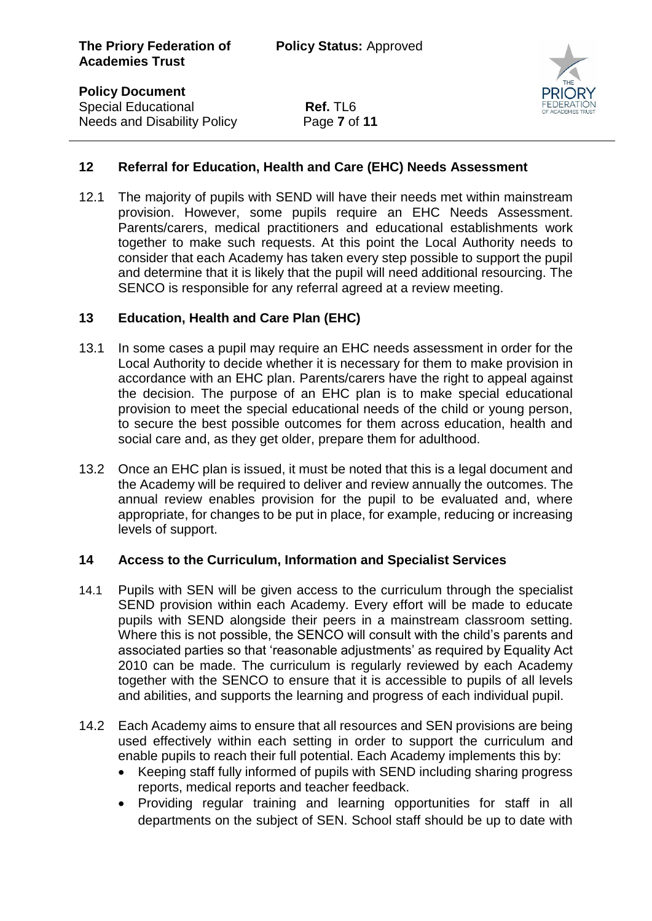**Special Educational <b>Ref.** TL6 Needs and Disability Policy Page **7** of **11**  $\overline{a}$ 



# **12 Referral for Education, Health and Care (EHC) Needs Assessment**

12.1 The majority of pupils with SEND will have their needs met within mainstream provision. However, some pupils require an EHC Needs Assessment. Parents/carers, medical practitioners and educational establishments work together to make such requests. At this point the Local Authority needs to consider that each Academy has taken every step possible to support the pupil and determine that it is likely that the pupil will need additional resourcing. The SENCO is responsible for any referral agreed at a review meeting.

# **13 Education, Health and Care Plan (EHC)**

- 13.1 In some cases a pupil may require an EHC needs assessment in order for the Local Authority to decide whether it is necessary for them to make provision in accordance with an EHC plan. Parents/carers have the right to appeal against the decision. The purpose of an EHC plan is to make special educational provision to meet the special educational needs of the child or young person, to secure the best possible outcomes for them across education, health and social care and, as they get older, prepare them for adulthood.
- 13.2 Once an EHC plan is issued, it must be noted that this is a legal document and the Academy will be required to deliver and review annually the outcomes. The annual review enables provision for the pupil to be evaluated and, where appropriate, for changes to be put in place, for example, reducing or increasing levels of support.

# **14 Access to the Curriculum, Information and Specialist Services**

- 14.1 Pupils with SEN will be given access to the curriculum through the specialist SEND provision within each Academy. Every effort will be made to educate pupils with SEND alongside their peers in a mainstream classroom setting. Where this is not possible, the SENCO will consult with the child's parents and associated parties so that 'reasonable adjustments' as required by Equality Act 2010 can be made. The curriculum is regularly reviewed by each Academy together with the SENCO to ensure that it is accessible to pupils of all levels and abilities, and supports the learning and progress of each individual pupil.
- 14.2 Each Academy aims to ensure that all resources and SEN provisions are being used effectively within each setting in order to support the curriculum and enable pupils to reach their full potential. Each Academy implements this by:
	- Keeping staff fully informed of pupils with SEND including sharing progress reports, medical reports and teacher feedback.
	- Providing regular training and learning opportunities for staff in all departments on the subject of SEN. School staff should be up to date with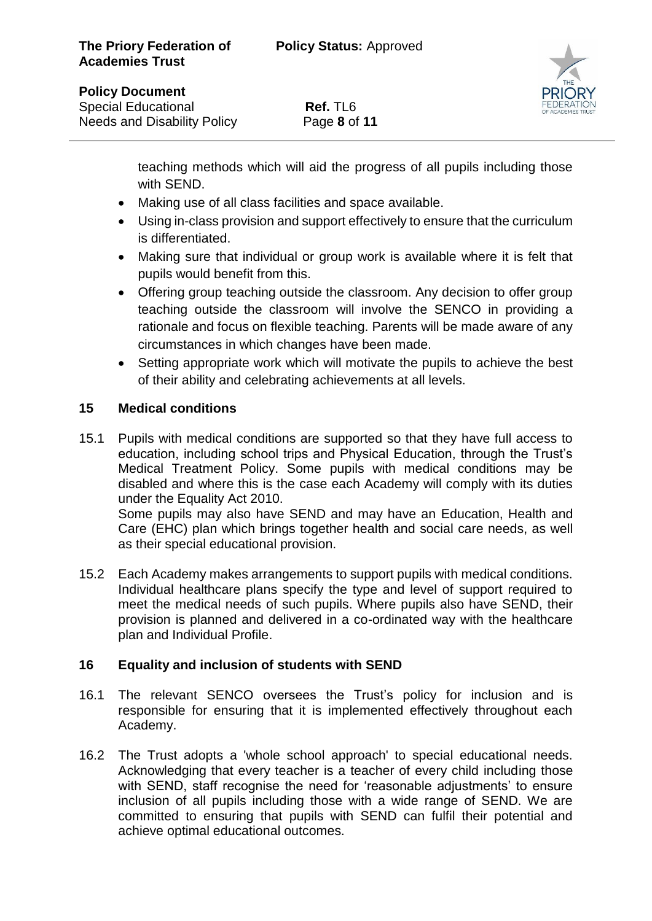

#### **Policy Document**

 $\overline{a}$ 

**Special Educational <b>Ref.** TL6 Needs and Disability Policy Page **8** of **11**

teaching methods which will aid the progress of all pupils including those with SEND.

- Making use of all class facilities and space available.
- Using in-class provision and support effectively to ensure that the curriculum is differentiated.
- Making sure that individual or group work is available where it is felt that pupils would benefit from this.
- Offering group teaching outside the classroom. Any decision to offer group teaching outside the classroom will involve the SENCO in providing a rationale and focus on flexible teaching. Parents will be made aware of any circumstances in which changes have been made.
- Setting appropriate work which will motivate the pupils to achieve the best of their ability and celebrating achievements at all levels.

# **15 Medical conditions**

15.1 Pupils with medical conditions are supported so that they have full access to education, including school trips and Physical Education, through the Trust's Medical Treatment Policy. Some pupils with medical conditions may be disabled and where this is the case each Academy will comply with its duties under the Equality Act 2010.

Some pupils may also have SEND and may have an Education, Health and Care (EHC) plan which brings together health and social care needs, as well as their special educational provision.

15.2 Each Academy makes arrangements to support pupils with medical conditions. Individual healthcare plans specify the type and level of support required to meet the medical needs of such pupils. Where pupils also have SEND, their provision is planned and delivered in a co-ordinated way with the healthcare plan and Individual Profile.

#### **16 Equality and inclusion of students with SEND**

- 16.1 The relevant SENCO oversees the Trust's policy for inclusion and is responsible for ensuring that it is implemented effectively throughout each Academy.
- 16.2 The Trust adopts a 'whole school approach' to special educational needs. Acknowledging that every teacher is a teacher of every child including those with SEND, staff recognise the need for 'reasonable adjustments' to ensure inclusion of all pupils including those with a wide range of SEND. We are committed to ensuring that pupils with SEND can fulfil their potential and achieve optimal educational outcomes.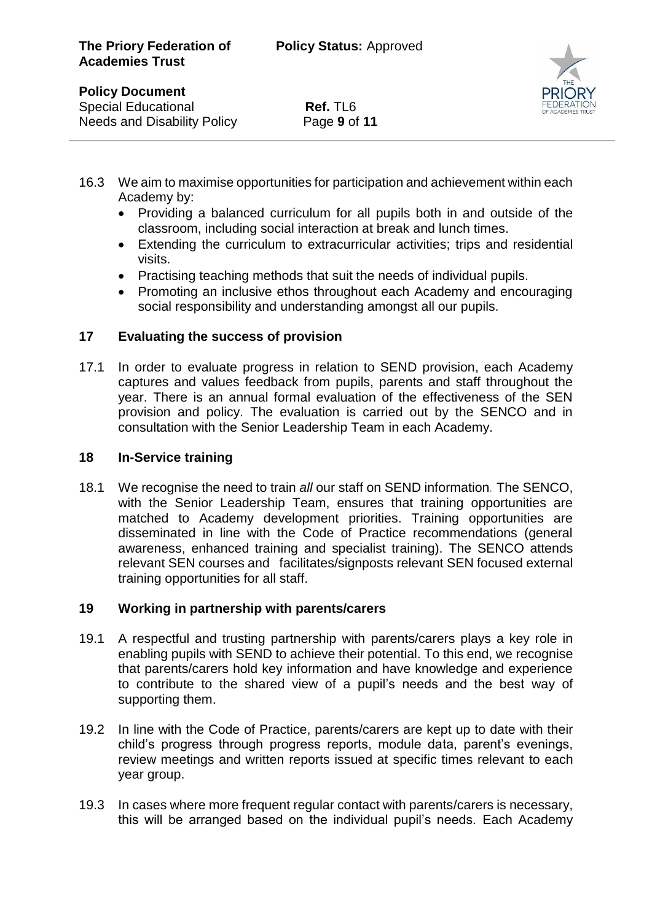**Special Educational <b>Ref.** TL6 Needs and Disability Policy Page **9** of **11**



- 16.3 We aim to maximise opportunities for participation and achievement within each Academy by:
	- Providing a balanced curriculum for all pupils both in and outside of the classroom, including social interaction at break and lunch times.
	- Extending the curriculum to extracurricular activities; trips and residential visits.
	- Practising teaching methods that suit the needs of individual pupils.
	- Promoting an inclusive ethos throughout each Academy and encouraging social responsibility and understanding amongst all our pupils.

# **17 Evaluating the success of provision**

17.1 In order to evaluate progress in relation to SEND provision, each Academy captures and values feedback from pupils, parents and staff throughout the year. There is an annual formal evaluation of the effectiveness of the SEN provision and policy. The evaluation is carried out by the SENCO and in consultation with the Senior Leadership Team in each Academy.

#### **18 In-Service training**

18.1 We recognise the need to train *all* our staff on SEND information*.* The SENCO, with the Senior Leadership Team, ensures that training opportunities are matched to Academy development priorities. Training opportunities are disseminated in line with the Code of Practice recommendations (general awareness, enhanced training and specialist training). The SENCO attends relevant SEN courses and facilitates/signposts relevant SEN focused external training opportunities for all staff.

# **19 Working in partnership with parents/carers**

- 19.1 A respectful and trusting partnership with parents/carers plays a key role in enabling pupils with SEND to achieve their potential. To this end, we recognise that parents/carers hold key information and have knowledge and experience to contribute to the shared view of a pupil's needs and the best way of supporting them.
- 19.2 In line with the Code of Practice, parents/carers are kept up to date with their child's progress through progress reports, module data, parent's evenings, review meetings and written reports issued at specific times relevant to each year group.
- 19.3 In cases where more frequent regular contact with parents/carers is necessary, this will be arranged based on the individual pupil's needs. Each Academy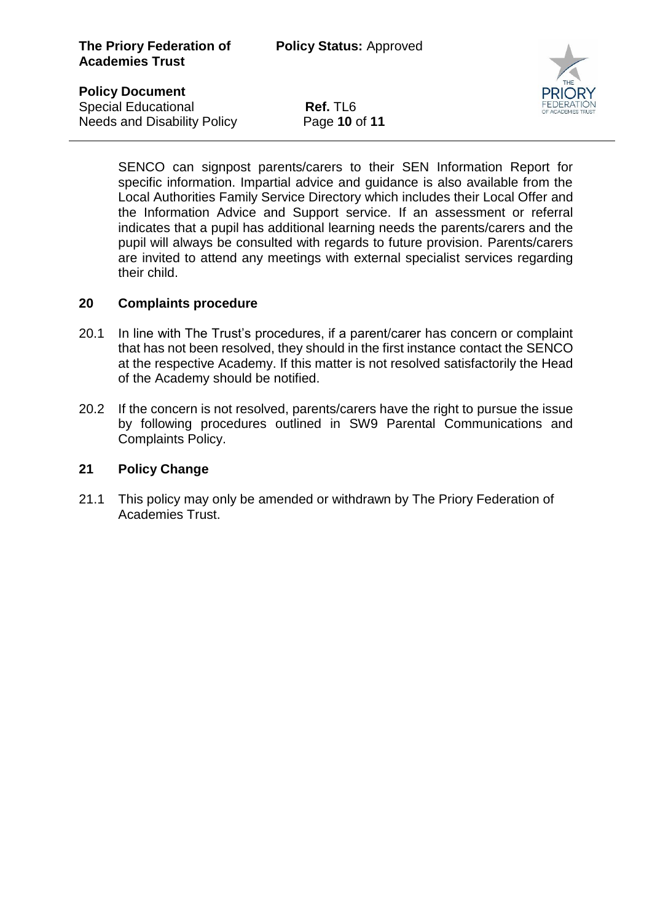**Special Educational <b>Ref.** TL6 Needs and Disability Policy Page **10** of **11**



SENCO can signpost parents/carers to their SEN Information Report for specific information. Impartial advice and guidance is also available from the Local Authorities Family Service Directory which includes their Local Offer and the Information Advice and Support service. If an assessment or referral indicates that a pupil has additional learning needs the parents/carers and the pupil will always be consulted with regards to future provision. Parents/carers are invited to attend any meetings with external specialist services regarding their child.

#### **20 Complaints procedure**

- 20.1 In line with The Trust's procedures, if a parent/carer has concern or complaint that has not been resolved, they should in the first instance contact the SENCO at the respective Academy. If this matter is not resolved satisfactorily the Head of the Academy should be notified.
- 20.2 If the concern is not resolved, parents/carers have the right to pursue the issue by following procedures outlined in SW9 Parental Communications and Complaints Policy.

#### **21 Policy Change**

21.1 This policy may only be amended or withdrawn by The Priory Federation of Academies Trust.